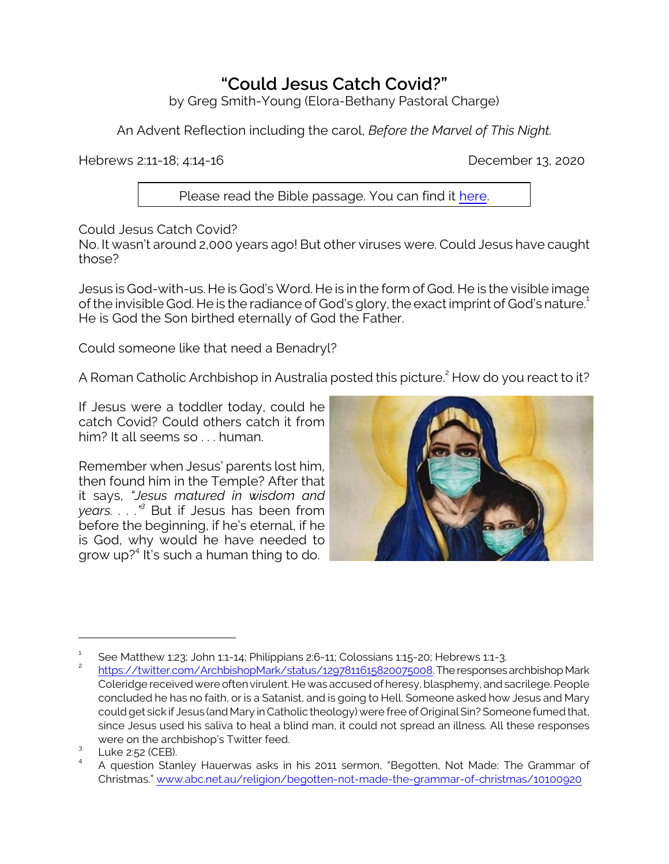## **"Could Jesus Catch Covid?"**

by Greg Smith-Young (Elora-Bethany Pastoral Charge)

An Advent Reflection including the carol, *Before the Marvel of This Night.*

Hebrews 2:11-18; 4:14-16 December 13, 2020

Please read the Bible passage. You can find it [here](https://www.biblegateway.com/passage/?search=Hebrews+2%3A11-18%3B+4%3A14-16&version=CEB).

Could Jesus Catch Covid?

No. It wasn't around 2,000 years ago! But other viruses were. Could Jesus have caught those?

Jesus is God-with-us. He is God's Word. He is in the form of God. He is the visible image of the invisible God. He is the radiance of God's glory, the exact imprint of God's nature. $^{\text{1}}$ He is God the Son birthed eternally of God the Father.

Could someone like that need a Benadryl?

A Roman Catholic Archbishop in Australia posted this picture.<sup>2</sup> How do you react to it?

If Jesus were a toddler today, could he catch Covid? Could others catch it from him? It all seems so . . . human.

Remember when Jesus' parents lost him, then found him in the Temple? After that it says, *"Jesus matured in wisdom and years. . . ."<sup>3</sup>* But if Jesus has been from before the beginning, if he's eternal, if he is God, why would he have needed to grow up?<sup>4</sup> It's such a human thing to do.



<sup>1</sup> See Matthew 1:23; John 1:1-14; Philippians 2:6-11; Colossians 1:15-20; Hebrews 1:1-3.

<sup>2</sup> <https://twitter.com/ArchbishopMark/status/1297811615820075008>.TheresponsesarchbishopMark Coleridge received were often virulent. He was accused of heresy, blasphemy, and sacrilege. People concluded he has no faith, or is a Satanist, and is going to Hell. Someone asked how Jesus and Mary could get sick if Jesus (and Mary in Catholic theology) were free of OriginalSin? Someone fumed that, since Jesus used his saliva to heal a blind man, it could not spread an illness. All these responses were on the archbishop's Twitter feed.

 $\frac{3}{4}$  Luke 2:52 (CEB).

A question Stanley Hauerwas asks in his 2011 sermon, "Begotten, Not Made: The Grammar of Christmas." [www.abc.net.au/religion/begotten-not-made-the-grammar-of-christmas/10100920](https://www.abc.net.au/religion/begotten-not-made-the-grammar-of-christmas/10100920)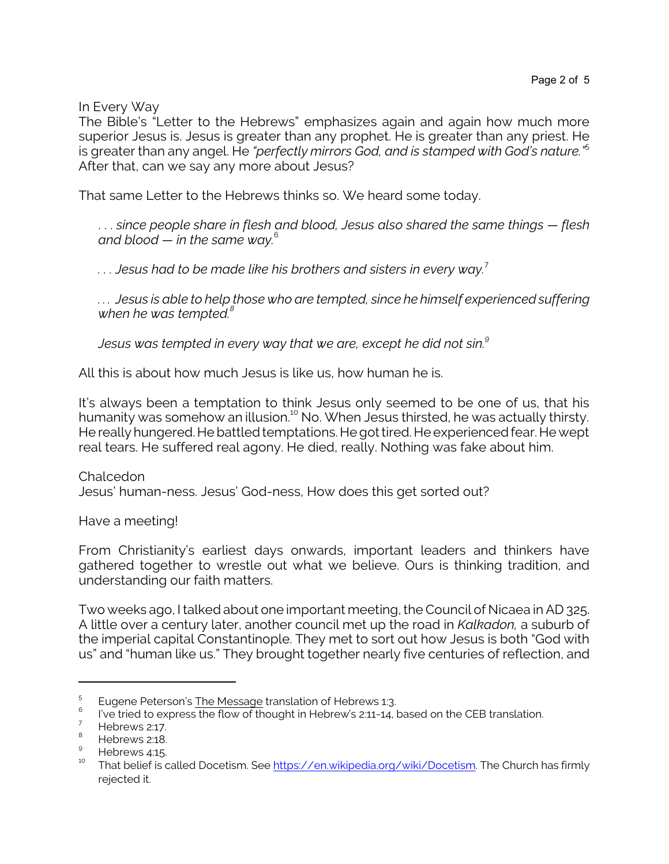In Every Way

The Bible's "Letter to the Hebrews" emphasizes again and again how much more superior Jesus is. Jesus is greater than any prophet. He is greater than any priest. He is greater than any angel. He *"perfectly mirrors God, and is stamped with God's nature."*<sup>5</sup> After that, can we say any more about Jesus?

That same Letter to the Hebrews thinks so. We heard some today.

. . . *since people share in flesh and blood, Jesus also shared the same things — flesh and blood — in the same way.* 6

*. . . Jesus had to be made like his brothers and sisters in every way.* 7

*. . . Jesus is able to help those who are tempted, since he himself experienced suffering when he was tempted.<sup>8</sup>*

*Jesus was tempted in every way that we are, except he did not sin.<sup>9</sup>*

All this is about how much Jesus is like us, how human he is.

It's always been a temptation to think Jesus only seemed to be one of us, that his humanity was somehow an illusion.<sup>10</sup> No. When Jesus thirsted, he was actually thirsty. He really hungered. He battled temptations. He got tired. He experienced fear. He wept real tears. He suffered real agony. He died, really. Nothing was fake about him.

Chalcedon Jesus' human-ness. Jesus' God-ness, How does this get sorted out?

Have a meeting!

From Christianity's earliest days onwards, important leaders and thinkers have gathered together to wrestle out what we believe. Ours is thinking tradition, and understanding our faith matters.

Two weeks ago,I talked about one important meeting, the Council of Nicaea in AD 325. A little over a century later, another council met up the road in *Kalkadon,* a suburb of the imperial capital Constantinople. They met to sort out how Jesus is both "God with us" and "human like us." They brought together nearly five centuries of reflection, and

<sup>5</sup> Eugene Peterson's The Message translation of Hebrews 1:3.

 $6$  l've tried to express the flow of thought in Hebrew's 2:11-14, based on the CEB translation.

<sup>7</sup> Hebrews 2:17.

Hebrews 2:18.

<sup>9</sup> Hebrews 4:15.

<sup>&</sup>lt;sup>10</sup> That belief is called Docetism. See <u>https://en.wikipedia.org/wiki/Docetism</u>. The Church has firmly rejected it.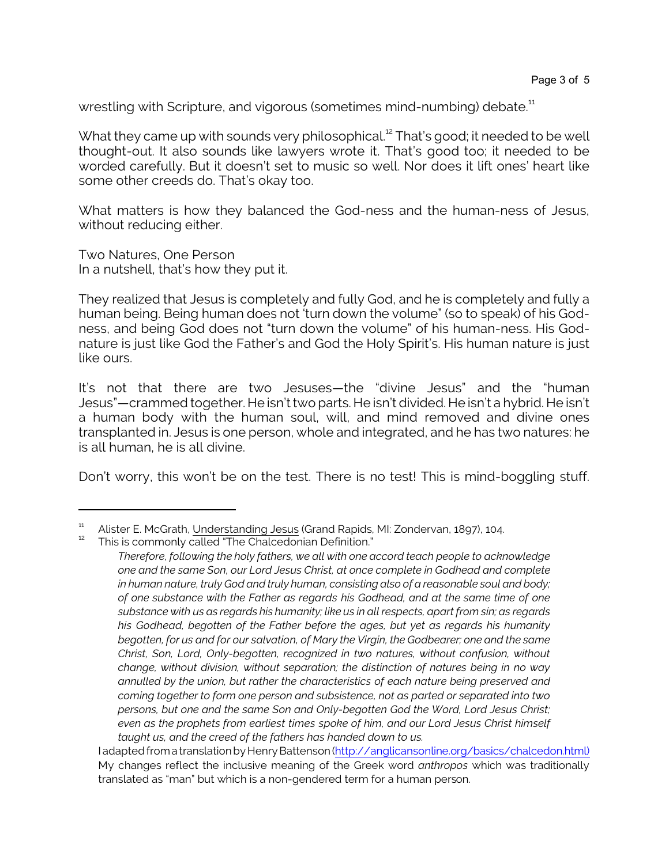wrestling with Scripture, and vigorous (sometimes mind-numbing) debate. $^{\rm 11}$ 

What they came up with sounds very philosophical.<sup>12</sup> That's good; it needed to be well thought-out. It also sounds like lawyers wrote it. That's good too; it needed to be worded carefully. But it doesn't set to music so well. Nor does it lift ones' heart like some other creeds do. That's okay too.

What matters is how they balanced the God-ness and the human-ness of Jesus, without reducing either.

Two Natures, One Person In a nutshell, that's how they put it.

They realized that Jesus is completely and fully God, and he is completely and fully a human being. Being human does not 'turn down the volume" (so to speak) of his Godness, and being God does not "turn down the volume" of his human-ness. His Godnature is just like God the Father's and God the Holy Spirit's. His human nature is just like ours.

It's not that there are two Jesuses—the "divine Jesus" and the "human Jesus"—crammed together. He isn'ttwo parts. He isn't divided. He isn't a hybrid. He isn't a human body with the human soul, will, and mind removed and divine ones transplanted in. Jesus is one person, whole and integrated, and he has two natures: he is all human, he is all divine.

Don't worry, this won't be on the test. There is no test! This is mind-boggling stuff.

This is commonly called "The Chalcedonian Definition."

<sup>&</sup>lt;sup>11</sup> Alister E. McGrath, Understanding Jesus (Grand Rapids, MI: Zondervan, 1897), 104.

*Therefore, following the holy fathers, we all with one accord teach people to acknowledge one and the same Son, our Lord Jesus Christ, at once complete in Godhead and complete in human nature, truly God and truly human, consisting also of a reasonable soul and body; of one substance with the Father as regards his Godhead, and at the same time of one substance with us as regards his humanity; like us in all respects, apart from sin; as regards his Godhead, begotten of the Father before the ages, but yet as regards his humanity begotten, for us and for our salvation, of Mary the Virgin, the Godbearer; one and the same Christ, Son, Lord, Only-begotten, recognized in two natures, without confusion, without change, without division, without separation; the distinction of natures being in no way annulled by the union, but rather the characteristics of each nature being preserved and coming together to form one person and subsistence, not as parted or separated into two persons, but one and the same Son and Only-begotten God the Word, Lord Jesus Christ; even as the prophets from earliest times spoke of him, and our Lord Jesus Christ himself taught us, and the creed of the fathers has handed down to us.*

I adapted from a translation by Henry Battenson [\(http://anglicansonline.org/basics/chalcedon.html\)]((http://anglicansonline.org/basics/chalcedon.html)) My changes reflect the inclusive meaning of the Greek word *anthropos* which was traditionally translated as "man" but which is a non-gendered term for a human person.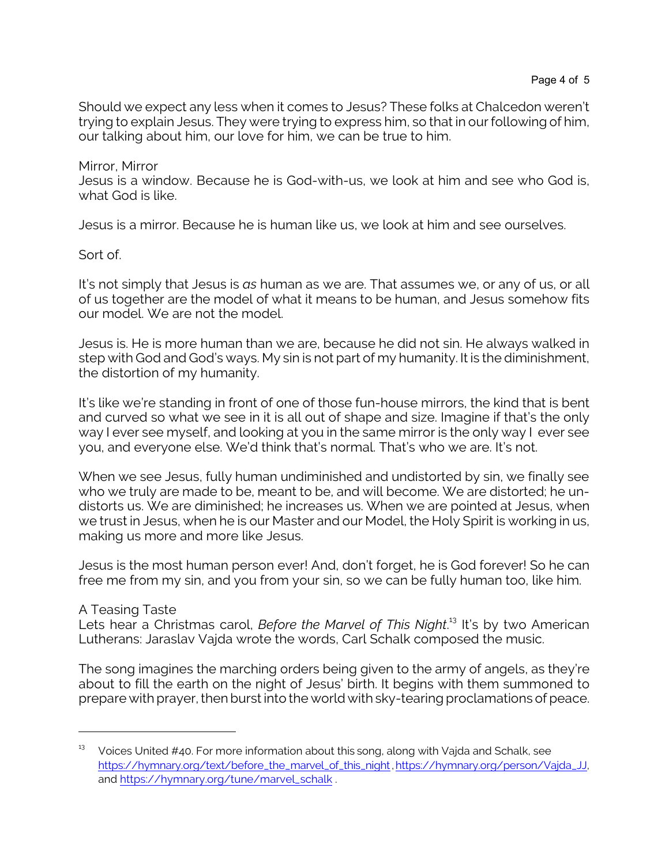Should we expect any less when it comes to Jesus? These folks at Chalcedon weren't trying to explain Jesus. They were trying to express him, so that in our following of him, our talking about him, our love for him, we can be true to him.

Mirror, Mirror Jesus is a window. Because he is God-with-us, we look at him and see who God is, what God is like.

Jesus is a mirror. Because he is human like us, we look at him and see ourselves.

Sort of.

It's not simply that Jesus is *as* human as we are. That assumes we, or any of us, or all of us together are the model of what it means to be human, and Jesus somehow fits our model. We are not the model.

Jesus is. He is more human than we are, because he did not sin. He always walked in step with God and God's ways. My sin is not part of my humanity. It is the diminishment, the distortion of my humanity.

It's like we're standing in front of one of those fun-house mirrors, the kind that is bent and curved so what we see in it is all out of shape and size. Imagine if that's the only way I ever see myself, and looking at you in the same mirror is the only way I ever see you, and everyone else. We'd think that's normal. That's who we are. It's not.

When we see Jesus, fully human undiminished and undistorted by sin, we finally see who we truly are made to be, meant to be, and will become. We are distorted; he undistorts us. We are diminished; he increases us. When we are pointed at Jesus, when we trust in Jesus, when he is our Master and our Model, the Holy Spirit is working in us, making us more and more like Jesus.

Jesus is the most human person ever! And, don't forget, he is God forever! So he can free me from my sin, and you from your sin, so we can be fully human too, like him.

## A Teasing Taste

Lets hear a Christmas carol, *Before the Marvel of This Night.<sup>13</sup> It's by two American* Lutherans: Jaraslav Vajda wrote the words, Carl Schalk composed the music.

The song imagines the marching orders being given to the army of angels, as they're about to fill the earth on the night of Jesus' birth. It begins with them summoned to prepare with prayer, then burst into the world with sky-tearing proclamations of peace.

 $13$  Voices United #40. For more information about this song, along with Vajda and Schalk, see [https://hymnary.org/text/before\\_the\\_marvel\\_of\\_this\\_night](https://hymnary.org/text/before_the_marvel_of_this_night),[https://hymnary.org/person/Vajda\\_JJ](https://hymnary.org/person/Vajda_JJ), and [https://hymnary.org/tune/marvel\\_schalk](https://hymnary.org/tune/marvel_schalk) .